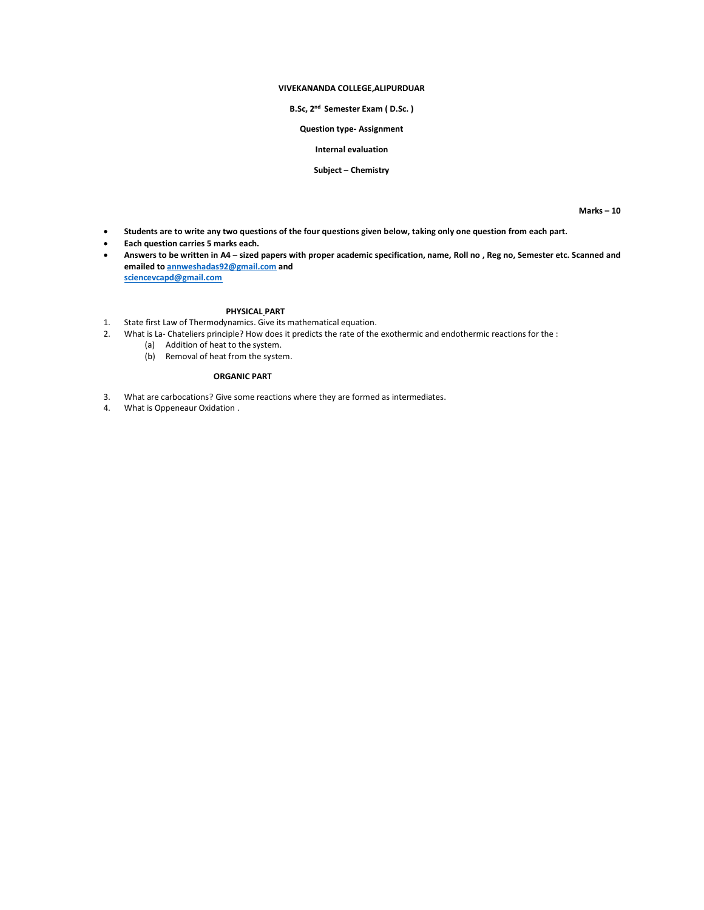## **VIVEKANANDA COLLEGE,ALIPURDUAR**

#### **B.Sc, 2 nd Semester Exam ( D.Sc. )**

### **Question type- Assignment**

# **Internal evaluation**

## **Subject – Chemistry**

**Marks – 10**

- **Students are to write any two questions of the four questions given below, taking only one question from each part.**
- **Each question carries 5 marks each.**
- **Answers to be written in A4 – sized papers with proper academic specification, name, Roll no , Reg no, Semester etc. Scanned and emailed t[o annweshadas92@gmail.com](mailto:annweshadas92@gmail.com) and [sciencevcapd@gmail.com](mailto:sciencevcapd@gmail.com)**

#### **PHYSICAL PART**

- 1. State first Law of Thermodynamics. Give its mathematical equation.
- 2. What is La- Chateliers principle? How does it predicts the rate of the exothermic and endothermic reactions for the :
	- (a) Addition of heat to the system.
	- (b) Removal of heat from the system.

#### **ORGANIC PART**

- 3. What are carbocations? Give some reactions where they are formed as intermediates.
- 4. What is Oppeneaur Oxidation .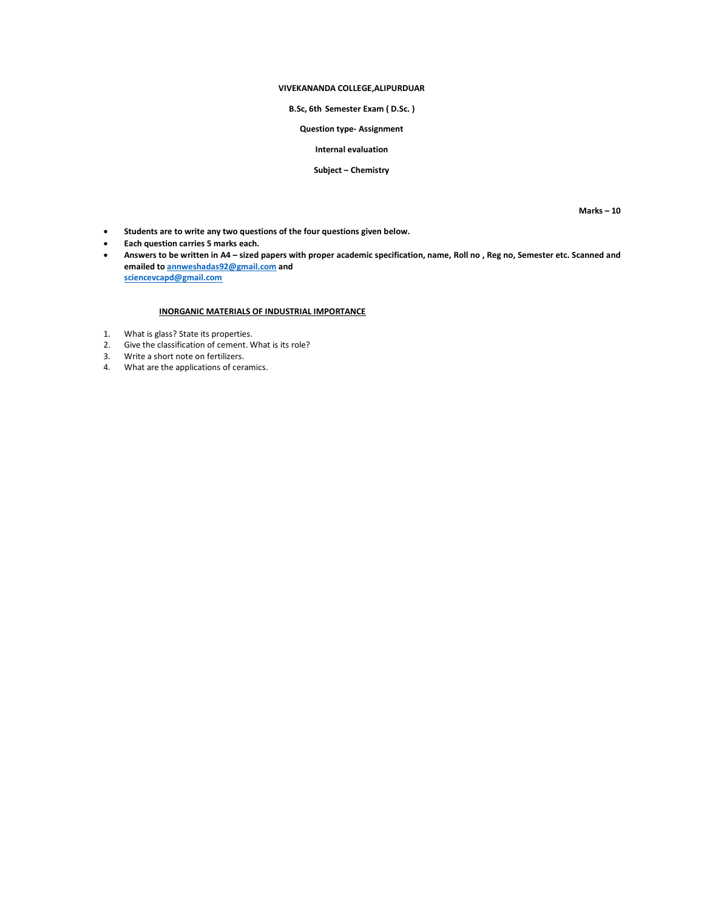## **VIVEKANANDA COLLEGE,ALIPURDUAR**

# **B.Sc, 6th Semester Exam ( D.Sc. )**

**Question type- Assignment**

## **Internal evaluation**

### **Subject – Chemistry**

**Marks – 10**

- **Students are to write any two questions of the four questions given below.**
- **Each question carries 5 marks each.**
- **Answers to be written in A4 – sized papers with proper academic specification, name, Roll no , Reg no, Semester etc. Scanned and emailed t[o annweshadas92@gmail.com](mailto:annweshadas92@gmail.com) and [sciencevcapd@gmail.com](mailto:sciencevcapd@gmail.com)**

# **INORGANIC MATERIALS OF INDUSTRIAL IMPORTANCE**

- 1. What is glass? State its properties.
- 2. Give the classification of cement. What is its role?
- 3. Write a short note on fertilizers.
- 4. What are the applications of ceramics.